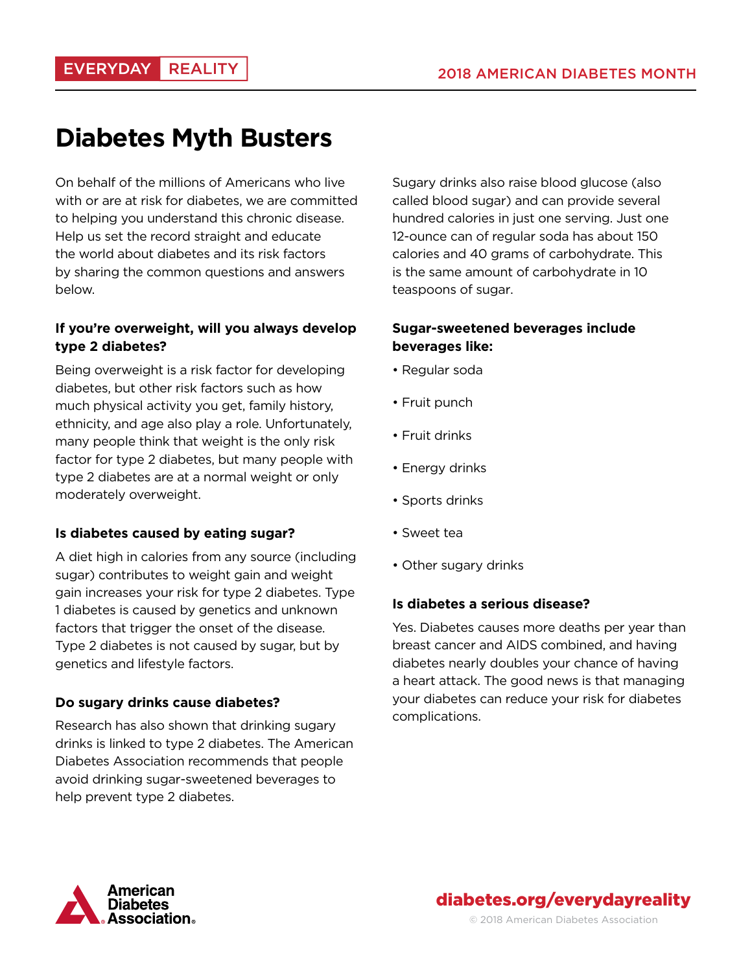# **Diabetes Myth Busters**

On behalf of the millions of Americans who live with or are at risk for diabetes, we are committed to helping you understand this chronic disease. Help us set the record straight and educate the world about diabetes and its risk factors by sharing the common questions and answers below.

## **If you're overweight, will you always develop type 2 diabetes?**

Being overweight is a risk factor for developing diabetes, but other risk factors such as how much physical activity you get, family history, ethnicity, and age also play a role. Unfortunately, many people think that weight is the only risk factor for type 2 diabetes, but many people with type 2 diabetes are at a normal weight or only moderately overweight.

### **Is diabetes caused by eating sugar?**

A diet high in calories from any source (including sugar) contributes to weight gain and weight gain increases your risk for type 2 diabetes. Type 1 diabetes is caused by genetics and unknown factors that trigger the onset of the disease. Type 2 diabetes is not caused by sugar, but by genetics and lifestyle factors.

### **Do sugary drinks cause diabetes?**

Research has also shown that drinking sugary drinks is linked to type 2 diabetes. The American Diabetes Association recommends that people avoid drinking sugar-sweetened beverages to help prevent type 2 diabetes.

Sugary drinks also raise blood glucose (also called blood sugar) and can provide several hundred calories in just one serving. Just one 12-ounce can of regular soda has about 150 calories and 40 grams of carbohydrate. This is the same amount of carbohydrate in 10 teaspoons of sugar.

## **Sugar-sweetened beverages include beverages like:**

- Regular soda
- Fruit punch
- Fruit drinks
- Energy drinks
- Sports drinks
- Sweet tea
- Other sugary drinks

#### **Is diabetes a serious disease?**

Yes. Diabetes causes more deaths per year than breast cancer and AIDS combined, and having diabetes nearly doubles your chance of having a heart attack. The good news is that managing your diabetes can reduce your risk for diabetes complications.



diabetes.org/everydayreality